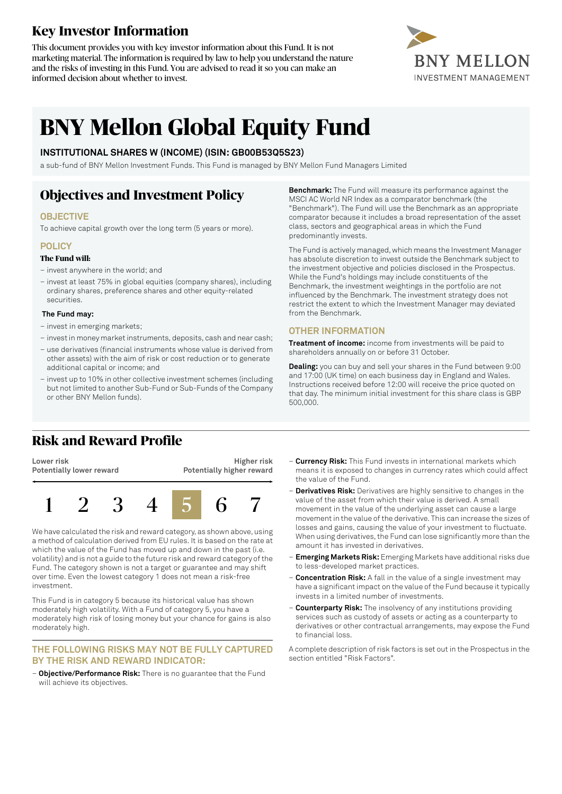# **Key Investor Information**

This document provides you with key investor information about this Fund. It is not marketing material. The information is required by law to help you understand the nature and the risks of investing in this Fund. You are advised to read it so you can make an informed decision about whether to invest.



# **BNY Mellon Global Equity Fund**

### **INSTITUTIONAL SHARES W (INCOME) (ISIN: GB00B53Q5S23)**

a sub-fund of BNY Mellon Investment Funds. This Fund is managed by BNY Mellon Fund Managers Limited

# **Objectives and Investment Policy**

### **OBJECTIVE**

To achieve capital growth over the long term (5 years or more).

### **POLICY**

#### **The Fund will:**

- invest anywhere in the world; and
- invest at least 75% in global equities (company shares), including ordinary shares, preference shares and other equity-related securities.

#### **The Fund may:**

- invest in emerging markets;
- investin money marketinstruments, deposits, cash and near cash;
- use derivatives (financial instruments whose value is derived from other assets) with the aim of risk or cost reduction or to generate additional capital or income; and
- invest up to 10% in other collective investment schemes (including but not limited to another Sub-Fund or Sub-Funds of the Company or other BNY Mellon funds).

**Benchmark:** The Fund will measure its performance against the MSCI AC World NR Index as a comparator benchmark (the "Benchmark"). The Fund will use the Benchmark as an appropriate comparator because it includes a broad representation of the asset class, sectors and geographical areas in which the Fund predominantly invests.

The Fund is actively managed, which means the Investment Manager has absolute discretion to invest outside the Benchmark subject to the investment objective and policies disclosed in the Prospectus. While the Fund's holdings may include constituents of the Benchmark, the investment weightings in the portfolio are not influenced by the Benchmark. The investment strategy does not restrict the extent to which the Investment Manager may deviated from the Benchmark.

### **OTHER INFORMATION**

**Treatment of income:** income from investments will be paid to shareholders annually on or before 31 October.

**Dealing:** you can buy and sell your shares in the Fund between 9:00 and 17:00 (UK time) on each business day in England and Wales. Instructions received before 12:00 will receive the price quoted on that day. The minimum initial investment for this share class is GBP 500,000.

# **Risk and Reward Profile**

**Lower risk Potentially lower reward**

**Higher risk Potentially higher reward**



We have calculated the risk and reward category, as shown above, using a method of calculation derived from EU rules. It is based on the rate at which the value of the Fund has moved up and down in the past (i.e. volatility) and is not a guide to the future risk and reward category ofthe Fund. The category shown is not a target or guarantee and may shift over time. Even the lowest category 1 does not mean a risk-free investment.

This Fund is in category 5 because its historical value has shown moderately high volatility. With a Fund of category 5, you have a moderately high risk of losing money but your chance for gains is also moderately high.

#### **THE FOLLOWING RISKS MAY NOT BE FULLY CAPTURED BY THE RISK AND REWARD INDICATOR:**

– **Objective/Performance Risk:** There is no guarantee that the Fund will achieve its objectives.

- **Currency Risk:** This Fund invests in international markets which means it is exposed to changes in currency rates which could affect the value of the Fund.
- **Derivatives Risk:** Derivatives are highly sensitive to changes in the value of the asset from which their value is derived. A small movement in the value of the underlying asset can cause a large movement in the value of the derivative. This can increase the sizes of losses and gains, causing the value of your investment to fluctuate. When using derivatives, the Fund can lose significantly more than the amount it has invested in derivatives.
- **Emerging Markets Risk:** Emerging Markets have additional risks due to less-developed market practices.
- **Concentration Risk:** A fall in the value of a single investment may have a significant impact on the value of the Fund because it typically invests in a limited number of investments.
- **Counterparty Risk:** The insolvency of any institutions providing services such as custody of assets or acting as a counterparty to derivatives or other contractual arrangements, may expose the Fund to financial loss.

A complete description of risk factors is set out in the Prospectus in the section entitled "Risk Factors".